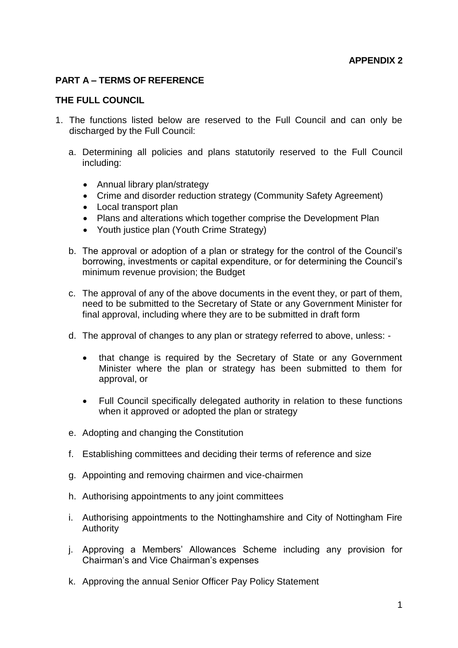### **PART A – TERMS OF REFERENCE**

### **THE FULL COUNCIL**

- 1. The functions listed below are reserved to the Full Council and can only be discharged by the Full Council:
	- a. Determining all policies and plans statutorily reserved to the Full Council including:
		- Annual library plan/strategy
		- Crime and disorder reduction strategy (Community Safety Agreement)
		- Local transport plan
		- Plans and alterations which together comprise the Development Plan
		- Youth justice plan (Youth Crime Strategy)
	- b. The approval or adoption of a plan or strategy for the control of the Council's borrowing, investments or capital expenditure, or for determining the Council's minimum revenue provision; the Budget
	- c. The approval of any of the above documents in the event they, or part of them, need to be submitted to the Secretary of State or any Government Minister for final approval, including where they are to be submitted in draft form
	- d. The approval of changes to any plan or strategy referred to above, unless:
		- that change is required by the Secretary of State or any Government Minister where the plan or strategy has been submitted to them for approval, or
		- Full Council specifically delegated authority in relation to these functions when it approved or adopted the plan or strategy
	- e. Adopting and changing the Constitution
	- f. Establishing committees and deciding their terms of reference and size
	- g. Appointing and removing chairmen and vice-chairmen
	- h. Authorising appointments to any joint committees
	- i. Authorising appointments to the Nottinghamshire and City of Nottingham Fire Authority
	- j. Approving a Members' Allowances Scheme including any provision for Chairman's and Vice Chairman's expenses
	- k. Approving the annual Senior Officer Pay Policy Statement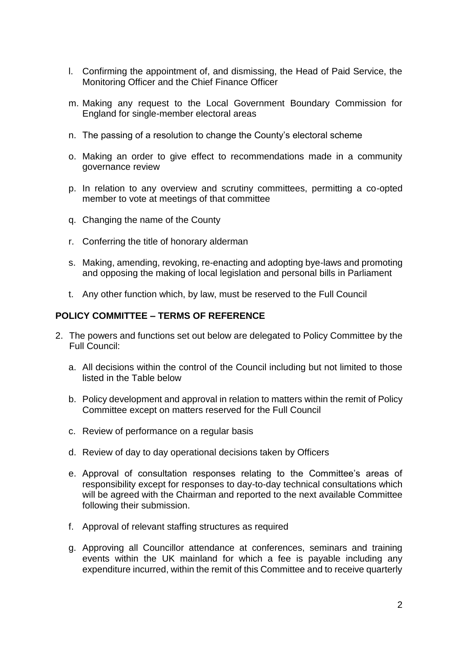- l. Confirming the appointment of, and dismissing, the Head of Paid Service, the Monitoring Officer and the Chief Finance Officer
- m. Making any request to the Local Government Boundary Commission for England for single-member electoral areas
- n. The passing of a resolution to change the County's electoral scheme
- o. Making an order to give effect to recommendations made in a community governance review
- p. In relation to any overview and scrutiny committees, permitting a co-opted member to vote at meetings of that committee
- q. Changing the name of the County
- r. Conferring the title of honorary alderman
- s. Making, amending, revoking, re-enacting and adopting bye-laws and promoting and opposing the making of local legislation and personal bills in Parliament
- t. Any other function which, by law, must be reserved to the Full Council

## **POLICY COMMITTEE – TERMS OF REFERENCE**

- 2. The powers and functions set out below are delegated to Policy Committee by the Full Council:
	- a. All decisions within the control of the Council including but not limited to those listed in the Table below
	- b. Policy development and approval in relation to matters within the remit of Policy Committee except on matters reserved for the Full Council
	- c. Review of performance on a regular basis
	- d. Review of day to day operational decisions taken by Officers
	- e. Approval of consultation responses relating to the Committee's areas of responsibility except for responses to day-to-day technical consultations which will be agreed with the Chairman and reported to the next available Committee following their submission.
	- f. Approval of relevant staffing structures as required
	- g. Approving all Councillor attendance at conferences, seminars and training events within the UK mainland for which a fee is payable including any expenditure incurred, within the remit of this Committee and to receive quarterly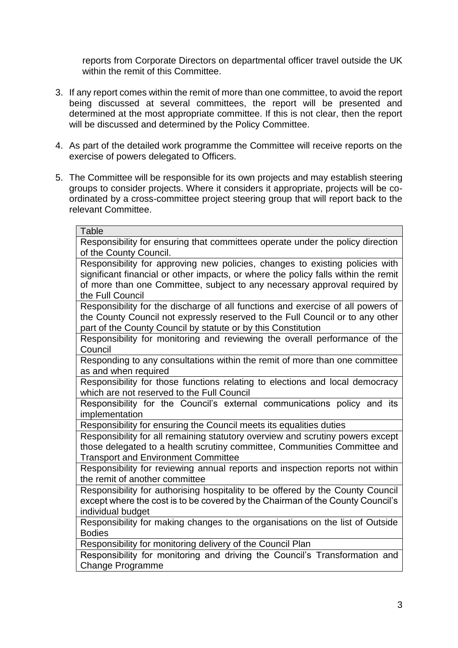reports from Corporate Directors on departmental officer travel outside the UK within the remit of this Committee.

- 3. If any report comes within the remit of more than one committee, to avoid the report being discussed at several committees, the report will be presented and determined at the most appropriate committee. If this is not clear, then the report will be discussed and determined by the Policy Committee.
- 4. As part of the detailed work programme the Committee will receive reports on the exercise of powers delegated to Officers.
- 5. The Committee will be responsible for its own projects and may establish steering groups to consider projects. Where it considers it appropriate, projects will be coordinated by a cross-committee project steering group that will report back to the relevant Committee.

| Table                                                                                                                                                            |
|------------------------------------------------------------------------------------------------------------------------------------------------------------------|
| Responsibility for ensuring that committees operate under the policy direction                                                                                   |
| of the County Council.                                                                                                                                           |
| Responsibility for approving new policies, changes to existing policies with                                                                                     |
| significant financial or other impacts, or where the policy falls within the remit                                                                               |
| of more than one Committee, subject to any necessary approval required by                                                                                        |
| the Full Council                                                                                                                                                 |
| Responsibility for the discharge of all functions and exercise of all powers of                                                                                  |
| the County Council not expressly reserved to the Full Council or to any other                                                                                    |
| part of the County Council by statute or by this Constitution                                                                                                    |
| Responsibility for monitoring and reviewing the overall performance of the                                                                                       |
| Council                                                                                                                                                          |
| Responding to any consultations within the remit of more than one committee                                                                                      |
| as and when required                                                                                                                                             |
| Responsibility for those functions relating to elections and local democracy                                                                                     |
| which are not reserved to the Full Council                                                                                                                       |
| Responsibility for the Council's external communications policy and its                                                                                          |
| implementation                                                                                                                                                   |
| Responsibility for ensuring the Council meets its equalities duties                                                                                              |
|                                                                                                                                                                  |
| Responsibility for all remaining statutory overview and scrutiny powers except                                                                                   |
| those delegated to a health scrutiny committee, Communities Committee and                                                                                        |
| <b>Transport and Environment Committee</b>                                                                                                                       |
| Responsibility for reviewing annual reports and inspection reports not within                                                                                    |
| the remit of another committee                                                                                                                                   |
|                                                                                                                                                                  |
| Responsibility for authorising hospitality to be offered by the County Council<br>except where the cost is to be covered by the Chairman of the County Council's |
| individual budget                                                                                                                                                |
| Responsibility for making changes to the organisations on the list of Outside                                                                                    |
| <b>Bodies</b>                                                                                                                                                    |
| Responsibility for monitoring delivery of the Council Plan                                                                                                       |
| Responsibility for monitoring and driving the Council's Transformation and                                                                                       |
|                                                                                                                                                                  |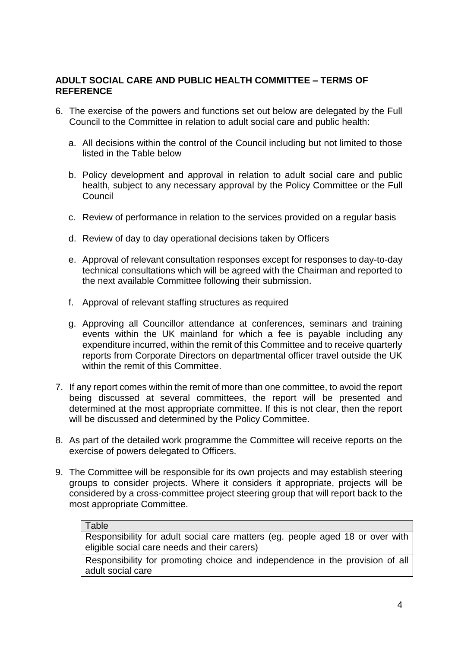## **ADULT SOCIAL CARE AND PUBLIC HEALTH COMMITTEE – TERMS OF REFERENCE**

- 6. The exercise of the powers and functions set out below are delegated by the Full Council to the Committee in relation to adult social care and public health:
	- a. All decisions within the control of the Council including but not limited to those listed in the Table below
	- b. Policy development and approval in relation to adult social care and public health, subject to any necessary approval by the Policy Committee or the Full Council
	- c. Review of performance in relation to the services provided on a regular basis
	- d. Review of day to day operational decisions taken by Officers
	- e. Approval of relevant consultation responses except for responses to day-to-day technical consultations which will be agreed with the Chairman and reported to the next available Committee following their submission.
	- f. Approval of relevant staffing structures as required
	- g. Approving all Councillor attendance at conferences, seminars and training events within the UK mainland for which a fee is payable including any expenditure incurred, within the remit of this Committee and to receive quarterly reports from Corporate Directors on departmental officer travel outside the UK within the remit of this Committee.
- 7. If any report comes within the remit of more than one committee, to avoid the report being discussed at several committees, the report will be presented and determined at the most appropriate committee. If this is not clear, then the report will be discussed and determined by the Policy Committee.
- 8. As part of the detailed work programme the Committee will receive reports on the exercise of powers delegated to Officers.
- 9. The Committee will be responsible for its own projects and may establish steering groups to consider projects. Where it considers it appropriate, projects will be considered by a cross-committee project steering group that will report back to the most appropriate Committee.

### Table

Responsibility for adult social care matters (eg. people aged 18 or over with eligible social care needs and their carers)

Responsibility for promoting choice and independence in the provision of all adult social care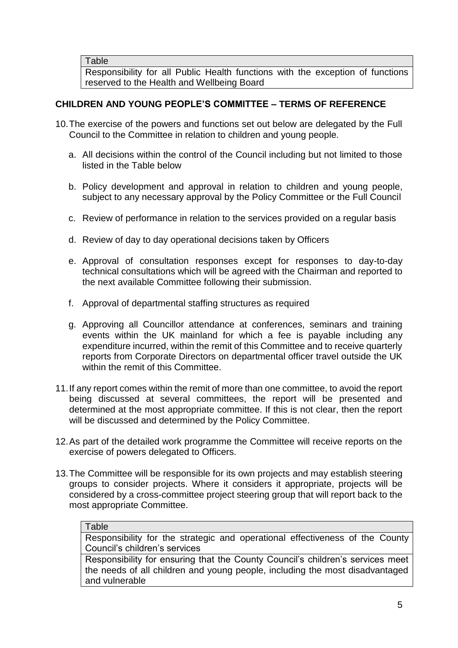Responsibility for all Public Health functions with the exception of functions reserved to the Health and Wellbeing Board

# **CHILDREN AND YOUNG PEOPLE'S COMMITTEE – TERMS OF REFERENCE**

- 10.The exercise of the powers and functions set out below are delegated by the Full Council to the Committee in relation to children and young people.
	- a. All decisions within the control of the Council including but not limited to those listed in the Table below
	- b. Policy development and approval in relation to children and young people, subject to any necessary approval by the Policy Committee or the Full Council
	- c. Review of performance in relation to the services provided on a regular basis
	- d. Review of day to day operational decisions taken by Officers
	- e. Approval of consultation responses except for responses to day-to-day technical consultations which will be agreed with the Chairman and reported to the next available Committee following their submission.
	- f. Approval of departmental staffing structures as required
	- g. Approving all Councillor attendance at conferences, seminars and training events within the UK mainland for which a fee is payable including any expenditure incurred, within the remit of this Committee and to receive quarterly reports from Corporate Directors on departmental officer travel outside the UK within the remit of this Committee.
- 11.If any report comes within the remit of more than one committee, to avoid the report being discussed at several committees, the report will be presented and determined at the most appropriate committee. If this is not clear, then the report will be discussed and determined by the Policy Committee.
- 12.As part of the detailed work programme the Committee will receive reports on the exercise of powers delegated to Officers.
- 13.The Committee will be responsible for its own projects and may establish steering groups to consider projects. Where it considers it appropriate, projects will be considered by a cross-committee project steering group that will report back to the most appropriate Committee.

### **Table**

Responsibility for the strategic and operational effectiveness of the County Council's children's services

Responsibility for ensuring that the County Council's children's services meet the needs of all children and young people, including the most disadvantaged and vulnerable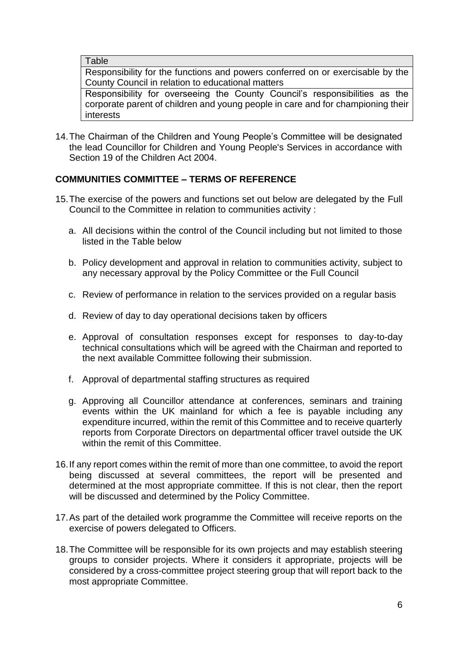Responsibility for the functions and powers conferred on or exercisable by the County Council in relation to educational matters

Responsibility for overseeing the County Council's responsibilities as the corporate parent of children and young people in care and for championing their interests

14.The Chairman of the Children and Young People's Committee will be designated the lead Councillor for Children and Young People's Services in accordance with Section 19 of the Children Act 2004.

# **COMMUNITIES COMMITTEE – TERMS OF REFERENCE**

- 15.The exercise of the powers and functions set out below are delegated by the Full Council to the Committee in relation to communities activity :
	- a. All decisions within the control of the Council including but not limited to those listed in the Table below
	- b. Policy development and approval in relation to communities activity, subject to any necessary approval by the Policy Committee or the Full Council
	- c. Review of performance in relation to the services provided on a regular basis
	- d. Review of day to day operational decisions taken by officers
	- e. Approval of consultation responses except for responses to day-to-day technical consultations which will be agreed with the Chairman and reported to the next available Committee following their submission.
	- f. Approval of departmental staffing structures as required
	- g. Approving all Councillor attendance at conferences, seminars and training events within the UK mainland for which a fee is payable including any expenditure incurred, within the remit of this Committee and to receive quarterly reports from Corporate Directors on departmental officer travel outside the UK within the remit of this Committee.
- 16.If any report comes within the remit of more than one committee, to avoid the report being discussed at several committees, the report will be presented and determined at the most appropriate committee. If this is not clear, then the report will be discussed and determined by the Policy Committee.
- 17.As part of the detailed work programme the Committee will receive reports on the exercise of powers delegated to Officers.
- 18.The Committee will be responsible for its own projects and may establish steering groups to consider projects. Where it considers it appropriate, projects will be considered by a cross-committee project steering group that will report back to the most appropriate Committee.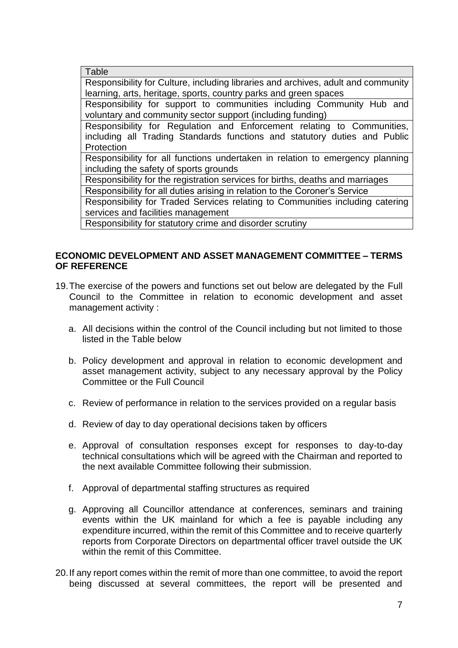Table Responsibility for Culture, including libraries and archives, adult and community learning, arts, heritage, sports, country parks and green spaces Responsibility for support to communities including Community Hub and voluntary and community sector support (including funding) Responsibility for Regulation and Enforcement relating to Communities, including all Trading Standards functions and statutory duties and Public **Protection** Responsibility for all functions undertaken in relation to emergency planning including the safety of sports grounds Responsibility for the registration services for births, deaths and marriages Responsibility for all duties arising in relation to the Coroner's Service Responsibility for Traded Services relating to Communities including catering services and facilities management

Responsibility for statutory crime and disorder scrutiny

## **ECONOMIC DEVELOPMENT AND ASSET MANAGEMENT COMMITTEE – TERMS OF REFERENCE**

- 19.The exercise of the powers and functions set out below are delegated by the Full Council to the Committee in relation to economic development and asset management activity :
	- a. All decisions within the control of the Council including but not limited to those listed in the Table below
	- b. Policy development and approval in relation to economic development and asset management activity, subject to any necessary approval by the Policy Committee or the Full Council
	- c. Review of performance in relation to the services provided on a regular basis
	- d. Review of day to day operational decisions taken by officers
	- e. Approval of consultation responses except for responses to day-to-day technical consultations which will be agreed with the Chairman and reported to the next available Committee following their submission.
	- f. Approval of departmental staffing structures as required
	- g. Approving all Councillor attendance at conferences, seminars and training events within the UK mainland for which a fee is payable including any expenditure incurred, within the remit of this Committee and to receive quarterly reports from Corporate Directors on departmental officer travel outside the UK within the remit of this Committee.
- 20.If any report comes within the remit of more than one committee, to avoid the report being discussed at several committees, the report will be presented and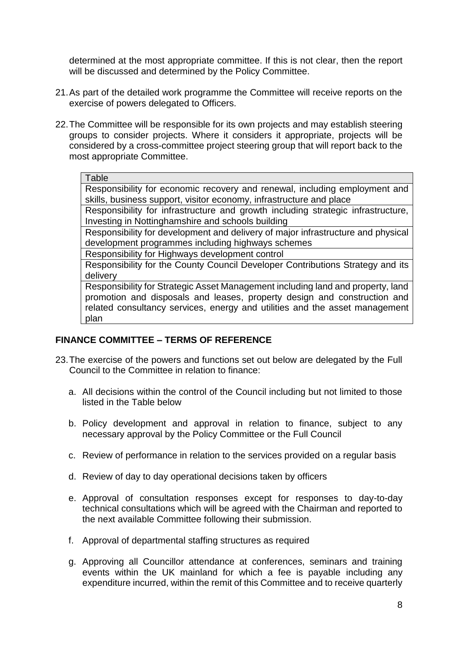determined at the most appropriate committee. If this is not clear, then the report will be discussed and determined by the Policy Committee.

- 21.As part of the detailed work programme the Committee will receive reports on the exercise of powers delegated to Officers.
- 22.The Committee will be responsible for its own projects and may establish steering groups to consider projects. Where it considers it appropriate, projects will be considered by a cross-committee project steering group that will report back to the most appropriate Committee.

#### **Table**

Responsibility for economic recovery and renewal, including employment and skills, business support, visitor economy, infrastructure and place

Responsibility for infrastructure and growth including strategic infrastructure, Investing in Nottinghamshire and schools building

Responsibility for development and delivery of major infrastructure and physical development programmes including highways schemes

Responsibility for Highways development control

Responsibility for the County Council Developer Contributions Strategy and its delivery

Responsibility for Strategic Asset Management including land and property, land promotion and disposals and leases, property design and construction and related consultancy services, energy and utilities and the asset management plan

# **FINANCE COMMITTEE – TERMS OF REFERENCE**

- 23.The exercise of the powers and functions set out below are delegated by the Full Council to the Committee in relation to finance:
	- a. All decisions within the control of the Council including but not limited to those listed in the Table below
	- b. Policy development and approval in relation to finance, subject to any necessary approval by the Policy Committee or the Full Council
	- c. Review of performance in relation to the services provided on a regular basis
	- d. Review of day to day operational decisions taken by officers
	- e. Approval of consultation responses except for responses to day-to-day technical consultations which will be agreed with the Chairman and reported to the next available Committee following their submission.
	- f. Approval of departmental staffing structures as required
	- g. Approving all Councillor attendance at conferences, seminars and training events within the UK mainland for which a fee is payable including any expenditure incurred, within the remit of this Committee and to receive quarterly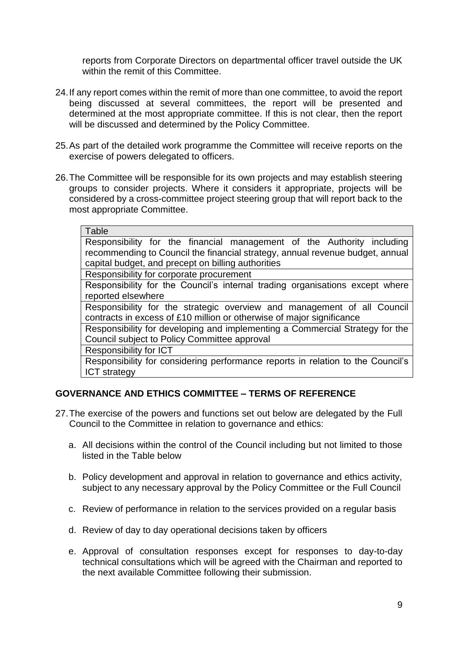reports from Corporate Directors on departmental officer travel outside the UK within the remit of this Committee.

- 24.If any report comes within the remit of more than one committee, to avoid the report being discussed at several committees, the report will be presented and determined at the most appropriate committee. If this is not clear, then the report will be discussed and determined by the Policy Committee.
- 25.As part of the detailed work programme the Committee will receive reports on the exercise of powers delegated to officers.
- 26.The Committee will be responsible for its own projects and may establish steering groups to consider projects. Where it considers it appropriate, projects will be considered by a cross-committee project steering group that will report back to the most appropriate Committee.

#### **Table**

Responsibility for the financial management of the Authority including recommending to Council the financial strategy, annual revenue budget, annual capital budget, and precept on billing authorities

Responsibility for corporate procurement

Responsibility for the Council's internal trading organisations except where reported elsewhere

Responsibility for the strategic overview and management of all Council contracts in excess of £10 million or otherwise of major significance

Responsibility for developing and implementing a Commercial Strategy for the Council subject to Policy Committee approval

Responsibility for ICT

Responsibility for considering performance reports in relation to the Council's ICT strategy

# **GOVERNANCE AND ETHICS COMMITTEE – TERMS OF REFERENCE**

- 27.The exercise of the powers and functions set out below are delegated by the Full Council to the Committee in relation to governance and ethics:
	- a. All decisions within the control of the Council including but not limited to those listed in the Table below
	- b. Policy development and approval in relation to governance and ethics activity, subject to any necessary approval by the Policy Committee or the Full Council
	- c. Review of performance in relation to the services provided on a regular basis
	- d. Review of day to day operational decisions taken by officers
	- e. Approval of consultation responses except for responses to day-to-day technical consultations which will be agreed with the Chairman and reported to the next available Committee following their submission.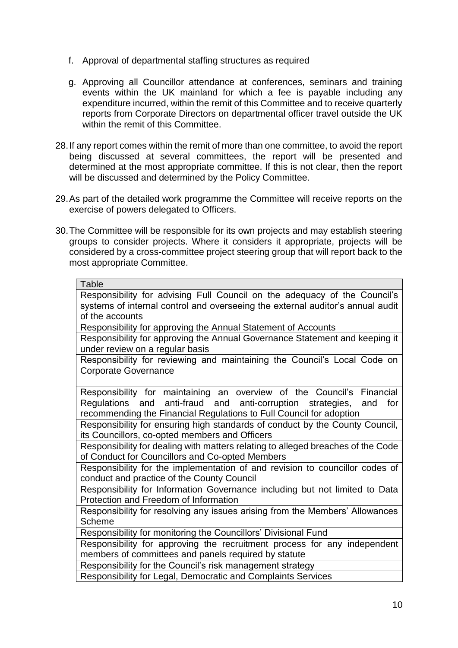- f. Approval of departmental staffing structures as required
- g. Approving all Councillor attendance at conferences, seminars and training events within the UK mainland for which a fee is payable including any expenditure incurred, within the remit of this Committee and to receive quarterly reports from Corporate Directors on departmental officer travel outside the UK within the remit of this Committee.
- 28.If any report comes within the remit of more than one committee, to avoid the report being discussed at several committees, the report will be presented and determined at the most appropriate committee. If this is not clear, then the report will be discussed and determined by the Policy Committee.
- 29.As part of the detailed work programme the Committee will receive reports on the exercise of powers delegated to Officers.
- 30.The Committee will be responsible for its own projects and may establish steering groups to consider projects. Where it considers it appropriate, projects will be considered by a cross-committee project steering group that will report back to the most appropriate Committee.

| Table                                                                            |
|----------------------------------------------------------------------------------|
| Responsibility for advising Full Council on the adequacy of the Council's        |
| systems of internal control and overseeing the external auditor's annual audit   |
| of the accounts                                                                  |
| Responsibility for approving the Annual Statement of Accounts                    |
| Responsibility for approving the Annual Governance Statement and keeping it      |
| under review on a regular basis                                                  |
| Responsibility for reviewing and maintaining the Council's Local Code on         |
| <b>Corporate Governance</b>                                                      |
|                                                                                  |
| Responsibility for maintaining an overview of the Council's Financial            |
| Regulations and anti-fraud and anti-corruption strategies,<br>for<br>and         |
| recommending the Financial Regulations to Full Council for adoption              |
| Responsibility for ensuring high standards of conduct by the County Council,     |
| its Councillors, co-opted members and Officers                                   |
| Responsibility for dealing with matters relating to alleged breaches of the Code |
| of Conduct for Councillors and Co-opted Members                                  |
| Responsibility for the implementation of and revision to councillor codes of     |
| conduct and practice of the County Council                                       |
| Responsibility for Information Governance including but not limited to Data      |
| Protection and Freedom of Information                                            |
| Responsibility for resolving any issues arising from the Members' Allowances     |
| <b>Scheme</b>                                                                    |
| Responsibility for monitoring the Councillors' Divisional Fund                   |
| Responsibility for approving the recruitment process for any independent         |
| members of committees and panels required by statute                             |
| Responsibility for the Council's risk management strategy                        |
| Responsibility for Legal, Democratic and Complaints Services                     |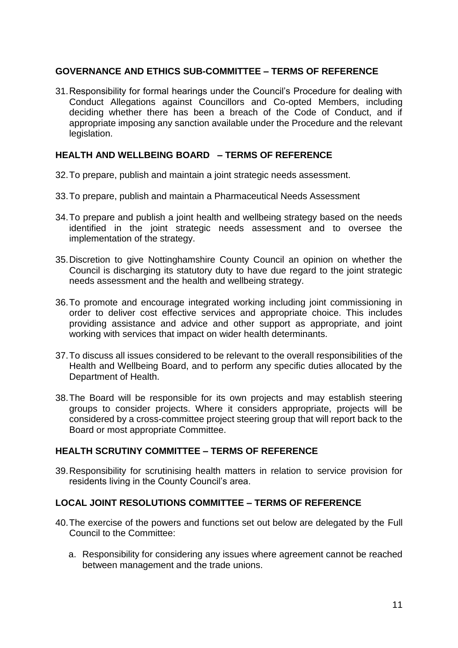## **GOVERNANCE AND ETHICS SUB-COMMITTEE – TERMS OF REFERENCE**

31.Responsibility for formal hearings under the Council's Procedure for dealing with Conduct Allegations against Councillors and Co-opted Members, including deciding whether there has been a breach of the Code of Conduct, and if appropriate imposing any sanction available under the Procedure and the relevant legislation.

## **HEALTH AND WELLBEING BOARD – TERMS OF REFERENCE**

- 32.To prepare, publish and maintain a joint strategic needs assessment.
- 33.To prepare, publish and maintain a Pharmaceutical Needs Assessment
- 34.To prepare and publish a joint health and wellbeing strategy based on the needs identified in the joint strategic needs assessment and to oversee the implementation of the strategy.
- 35.Discretion to give Nottinghamshire County Council an opinion on whether the Council is discharging its statutory duty to have due regard to the joint strategic needs assessment and the health and wellbeing strategy.
- 36.To promote and encourage integrated working including joint commissioning in order to deliver cost effective services and appropriate choice. This includes providing assistance and advice and other support as appropriate, and joint working with services that impact on wider health determinants.
- 37.To discuss all issues considered to be relevant to the overall responsibilities of the Health and Wellbeing Board, and to perform any specific duties allocated by the Department of Health.
- 38.The Board will be responsible for its own projects and may establish steering groups to consider projects. Where it considers appropriate, projects will be considered by a cross-committee project steering group that will report back to the Board or most appropriate Committee.

# **HEALTH SCRUTINY COMMITTEE – TERMS OF REFERENCE**

39.Responsibility for scrutinising health matters in relation to service provision for residents living in the County Council's area.

# **LOCAL JOINT RESOLUTIONS COMMITTEE – TERMS OF REFERENCE**

- 40.The exercise of the powers and functions set out below are delegated by the Full Council to the Committee:
	- a. Responsibility for considering any issues where agreement cannot be reached between management and the trade unions.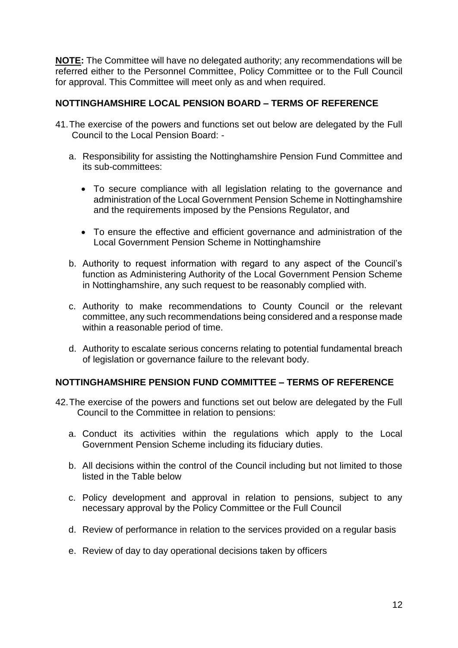**NOTE:** The Committee will have no delegated authority; any recommendations will be referred either to the Personnel Committee, Policy Committee or to the Full Council for approval. This Committee will meet only as and when required.

## **NOTTINGHAMSHIRE LOCAL PENSION BOARD – TERMS OF REFERENCE**

- 41.The exercise of the powers and functions set out below are delegated by the Full Council to the Local Pension Board:
	- a. Responsibility for assisting the Nottinghamshire Pension Fund Committee and its sub-committees:
		- To secure compliance with all legislation relating to the governance and administration of the Local Government Pension Scheme in Nottinghamshire and the requirements imposed by the Pensions Regulator, and
		- To ensure the effective and efficient governance and administration of the Local Government Pension Scheme in Nottinghamshire
	- b. Authority to request information with regard to any aspect of the Council's function as Administering Authority of the Local Government Pension Scheme in Nottinghamshire, any such request to be reasonably complied with.
	- c. Authority to make recommendations to County Council or the relevant committee, any such recommendations being considered and a response made within a reasonable period of time.
	- d. Authority to escalate serious concerns relating to potential fundamental breach of legislation or governance failure to the relevant body.

# **NOTTINGHAMSHIRE PENSION FUND COMMITTEE – TERMS OF REFERENCE**

- 42.The exercise of the powers and functions set out below are delegated by the Full Council to the Committee in relation to pensions:
	- a. Conduct its activities within the regulations which apply to the Local Government Pension Scheme including its fiduciary duties.
	- b. All decisions within the control of the Council including but not limited to those listed in the Table below
	- c. Policy development and approval in relation to pensions, subject to any necessary approval by the Policy Committee or the Full Council
	- d. Review of performance in relation to the services provided on a regular basis
	- e. Review of day to day operational decisions taken by officers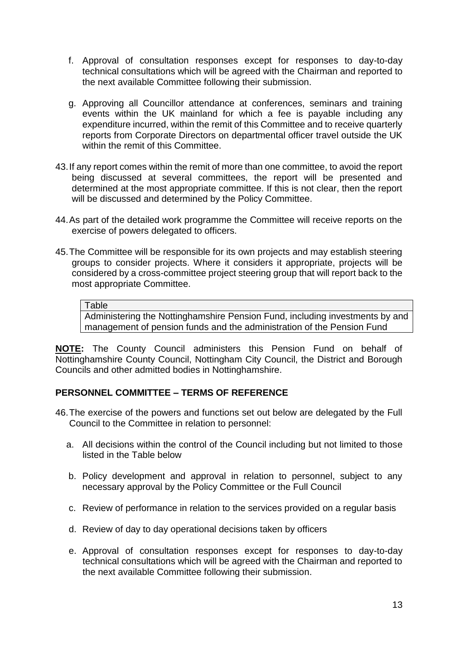- f. Approval of consultation responses except for responses to day-to-day technical consultations which will be agreed with the Chairman and reported to the next available Committee following their submission.
- g. Approving all Councillor attendance at conferences, seminars and training events within the UK mainland for which a fee is payable including any expenditure incurred, within the remit of this Committee and to receive quarterly reports from Corporate Directors on departmental officer travel outside the UK within the remit of this Committee.
- 43.If any report comes within the remit of more than one committee, to avoid the report being discussed at several committees, the report will be presented and determined at the most appropriate committee. If this is not clear, then the report will be discussed and determined by the Policy Committee.
- 44.As part of the detailed work programme the Committee will receive reports on the exercise of powers delegated to officers.
- 45.The Committee will be responsible for its own projects and may establish steering groups to consider projects. Where it considers it appropriate, projects will be considered by a cross-committee project steering group that will report back to the most appropriate Committee.

Administering the Nottinghamshire Pension Fund, including investments by and management of pension funds and the administration of the Pension Fund

**NOTE:** The County Council administers this Pension Fund on behalf of Nottinghamshire County Council, Nottingham City Council, the District and Borough Councils and other admitted bodies in Nottinghamshire.

## **PERSONNEL COMMITTEE – TERMS OF REFERENCE**

- 46.The exercise of the powers and functions set out below are delegated by the Full Council to the Committee in relation to personnel:
	- a. All decisions within the control of the Council including but not limited to those listed in the Table below
	- b. Policy development and approval in relation to personnel, subject to any necessary approval by the Policy Committee or the Full Council
	- c. Review of performance in relation to the services provided on a regular basis
	- d. Review of day to day operational decisions taken by officers
	- e. Approval of consultation responses except for responses to day-to-day technical consultations which will be agreed with the Chairman and reported to the next available Committee following their submission.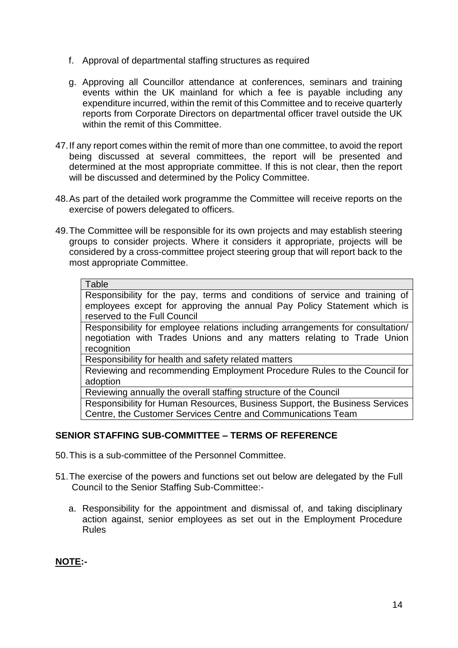- f. Approval of departmental staffing structures as required
- g. Approving all Councillor attendance at conferences, seminars and training events within the UK mainland for which a fee is payable including any expenditure incurred, within the remit of this Committee and to receive quarterly reports from Corporate Directors on departmental officer travel outside the UK within the remit of this Committee.
- 47.If any report comes within the remit of more than one committee, to avoid the report being discussed at several committees, the report will be presented and determined at the most appropriate committee. If this is not clear, then the report will be discussed and determined by the Policy Committee.
- 48.As part of the detailed work programme the Committee will receive reports on the exercise of powers delegated to officers.
- 49.The Committee will be responsible for its own projects and may establish steering groups to consider projects. Where it considers it appropriate, projects will be considered by a cross-committee project steering group that will report back to the most appropriate Committee.

Responsibility for the pay, terms and conditions of service and training of employees except for approving the annual Pay Policy Statement which is reserved to the Full Council

Responsibility for employee relations including arrangements for consultation/ negotiation with Trades Unions and any matters relating to Trade Union recognition

Responsibility for health and safety related matters

Reviewing and recommending Employment Procedure Rules to the Council for adoption

Reviewing annually the overall staffing structure of the Council

Responsibility for Human Resources, Business Support, the Business Services Centre, the Customer Services Centre and Communications Team

# **SENIOR STAFFING SUB-COMMITTEE – TERMS OF REFERENCE**

50.This is a sub-committee of the Personnel Committee.

- 51.The exercise of the powers and functions set out below are delegated by the Full Council to the Senior Staffing Sub-Committee:
	- a. Responsibility for the appointment and dismissal of, and taking disciplinary action against, senior employees as set out in the Employment Procedure Rules

# **NOTE:-**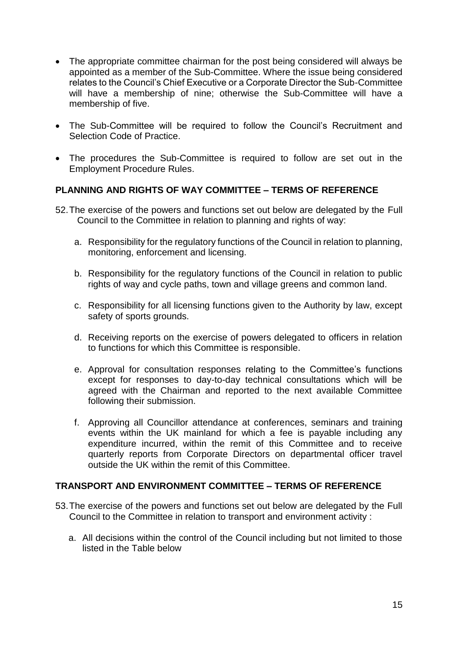- The appropriate committee chairman for the post being considered will always be appointed as a member of the Sub-Committee. Where the issue being considered relates to the Council's Chief Executive or a Corporate Director the Sub-Committee will have a membership of nine; otherwise the Sub-Committee will have a membership of five.
- The Sub-Committee will be required to follow the Council's Recruitment and Selection Code of Practice.
- The procedures the Sub-Committee is required to follow are set out in the Employment Procedure Rules.

## **PLANNING AND RIGHTS OF WAY COMMITTEE – TERMS OF REFERENCE**

- 52.The exercise of the powers and functions set out below are delegated by the Full Council to the Committee in relation to planning and rights of way:
	- a. Responsibility for the regulatory functions of the Council in relation to planning, monitoring, enforcement and licensing.
	- b. Responsibility for the regulatory functions of the Council in relation to public rights of way and cycle paths, town and village greens and common land.
	- c. Responsibility for all licensing functions given to the Authority by law, except safety of sports grounds.
	- d. Receiving reports on the exercise of powers delegated to officers in relation to functions for which this Committee is responsible.
	- e. Approval for consultation responses relating to the Committee's functions except for responses to day-to-day technical consultations which will be agreed with the Chairman and reported to the next available Committee following their submission.
	- f. Approving all Councillor attendance at conferences, seminars and training events within the UK mainland for which a fee is payable including any expenditure incurred, within the remit of this Committee and to receive quarterly reports from Corporate Directors on departmental officer travel outside the UK within the remit of this Committee.

## **TRANSPORT AND ENVIRONMENT COMMITTEE – TERMS OF REFERENCE**

- 53.The exercise of the powers and functions set out below are delegated by the Full Council to the Committee in relation to transport and environment activity :
	- a. All decisions within the control of the Council including but not limited to those listed in the Table below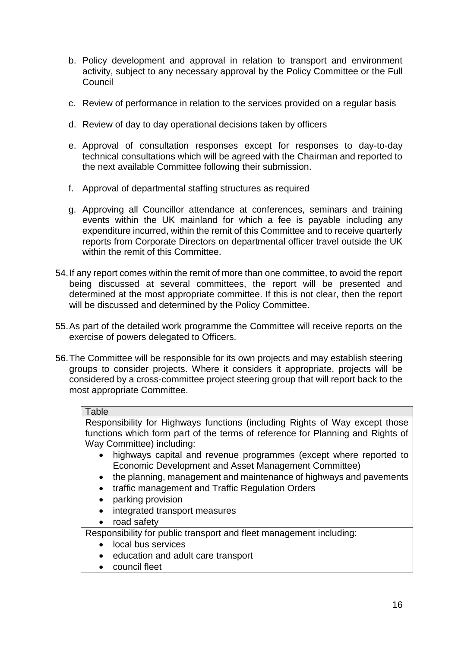- b. Policy development and approval in relation to transport and environment activity, subject to any necessary approval by the Policy Committee or the Full **Council**
- c. Review of performance in relation to the services provided on a regular basis
- d. Review of day to day operational decisions taken by officers
- e. Approval of consultation responses except for responses to day-to-day technical consultations which will be agreed with the Chairman and reported to the next available Committee following their submission.
- f. Approval of departmental staffing structures as required
- g. Approving all Councillor attendance at conferences, seminars and training events within the UK mainland for which a fee is payable including any expenditure incurred, within the remit of this Committee and to receive quarterly reports from Corporate Directors on departmental officer travel outside the UK within the remit of this Committee.
- 54.If any report comes within the remit of more than one committee, to avoid the report being discussed at several committees, the report will be presented and determined at the most appropriate committee. If this is not clear, then the report will be discussed and determined by the Policy Committee.
- 55.As part of the detailed work programme the Committee will receive reports on the exercise of powers delegated to Officers.
- 56.The Committee will be responsible for its own projects and may establish steering groups to consider projects. Where it considers it appropriate, projects will be considered by a cross-committee project steering group that will report back to the most appropriate Committee.

Responsibility for Highways functions (including Rights of Way except those functions which form part of the terms of reference for Planning and Rights of Way Committee) including:

- highways capital and revenue programmes (except where reported to Economic Development and Asset Management Committee)
- the planning, management and maintenance of highways and payements
- traffic management and Traffic Regulation Orders
- parking provision
- integrated transport measures
- road safety

Responsibility for public transport and fleet management including:

- local bus services
- education and adult care transport
- council fleet